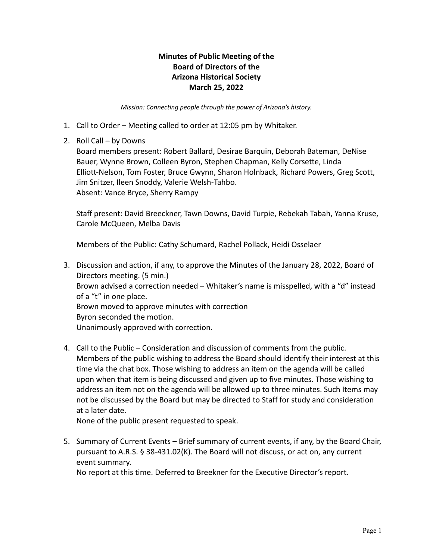## **Minutes of Public Meeting of the Board of Directors of the Arizona Historical Society March 25, 2022**

*Mission: Connecting people through the power of Arizona's history.*

- 1. Call to Order Meeting called to order at 12:05 pm by Whitaker.
- 2. Roll Call by Downs

Board members present: Robert Ballard, Desirae Barquin, Deborah Bateman, DeNise Bauer, Wynne Brown, Colleen Byron, Stephen Chapman, Kelly Corsette, Linda Elliott-Nelson, Tom Foster, Bruce Gwynn, Sharon Holnback, Richard Powers, Greg Scott, Jim Snitzer, Ileen Snoddy, Valerie Welsh-Tahbo. Absent: Vance Bryce, Sherry Rampy

Staff present: David Breeckner, Tawn Downs, David Turpie, Rebekah Tabah, Yanna Kruse, Carole McQueen, Melba Davis

Members of the Public: Cathy Schumard, Rachel Pollack, Heidi Osselaer

- 3. Discussion and action, if any, to approve the Minutes of the January 28, 2022, Board of Directors meeting. (5 min.) Brown advised a correction needed – Whitaker's name is misspelled, with a "d" instead of a "t" in one place. Brown moved to approve minutes with correction Byron seconded the motion. Unanimously approved with correction.
- 4. Call to the Public Consideration and discussion of comments from the public. Members of the public wishing to address the Board should identify their interest at this time via the chat box. Those wishing to address an item on the agenda will be called upon when that item is being discussed and given up to five minutes. Those wishing to address an item not on the agenda will be allowed up to three minutes. Such Items may not be discussed by the Board but may be directed to Staff for study and consideration at a later date.

None of the public present requested to speak.

5. Summary of Current Events – Brief summary of current events, if any, by the Board Chair, pursuant to A.R.S. § 38-431.02(K). The Board will not discuss, or act on, any current event summary.

No report at this time. Deferred to Breekner for the Executive Director's report.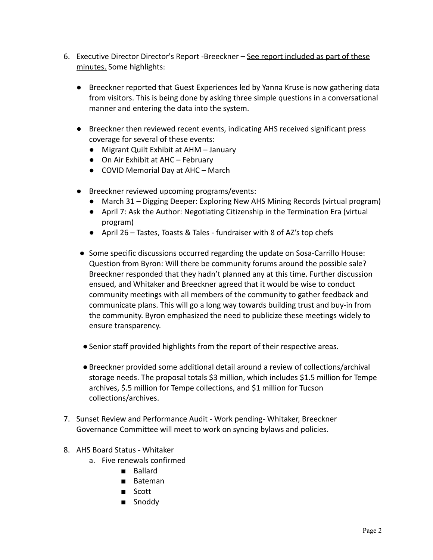- 6. Executive Director Director's Report -Breeckner See report included as part of these minutes. Some highlights:
	- Breeckner reported that Guest Experiences led by Yanna Kruse is now gathering data from visitors. This is being done by asking three simple questions in a conversational manner and entering the data into the system.
	- Breeckner then reviewed recent events, indicating AHS received significant press coverage for several of these events:
		- Migrant Quilt Exhibit at AHM January
		- On Air Exhibit at AHC February
		- COVID Memorial Day at AHC March
	- Breeckner reviewed upcoming programs/events:
		- March 31 Digging Deeper: Exploring New AHS Mining Records (virtual program)
		- April 7: Ask the Author: Negotiating Citizenship in the Termination Era (virtual program)
		- April 26 Tastes, Toasts & Tales fundraiser with 8 of AZ's top chefs
	- Some specific discussions occurred regarding the update on Sosa-Carrillo House: Question from Byron: Will there be community forums around the possible sale? Breeckner responded that they hadn't planned any at this time. Further discussion ensued, and Whitaker and Breeckner agreed that it would be wise to conduct community meetings with all members of the community to gather feedback and communicate plans. This will go a long way towards building trust and buy-in from the community. Byron emphasized the need to publicize these meetings widely to ensure transparency.
	- ●Senior staff provided highlights from the report of their respective areas.
	- ●Breeckner provided some additional detail around a review of collections/archival storage needs. The proposal totals \$3 million, which includes \$1.5 million for Tempe archives, \$.5 million for Tempe collections, and \$1 million for Tucson collections/archives.
- 7. Sunset Review and Performance Audit Work pending- Whitaker, Breeckner Governance Committee will meet to work on syncing bylaws and policies.
- 8. AHS Board Status Whitaker
	- a. Five renewals confirmed
		- Ballard
		- Bateman
		- Scott
		- Snoddy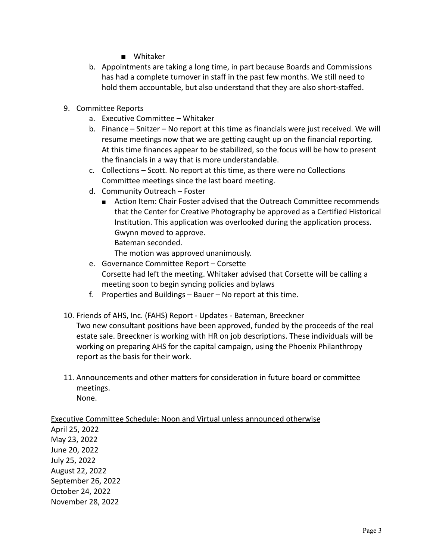- Whitaker
- b. Appointments are taking a long time, in part because Boards and Commissions has had a complete turnover in staff in the past few months. We still need to hold them accountable, but also understand that they are also short-staffed.
- 9. Committee Reports
	- a. Executive Committee Whitaker
	- b. Finance Snitzer No report at this time as financials were just received. We will resume meetings now that we are getting caught up on the financial reporting. At this time finances appear to be stabilized, so the focus will be how to present the financials in a way that is more understandable.
	- c. Collections Scott. No report at this time, as there were no Collections Committee meetings since the last board meeting.
	- d. Community Outreach Foster
		- Action Item: Chair Foster advised that the Outreach Committee recommends that the Center for Creative Photography be approved as a Certified Historical Institution. This application was overlooked during the application process. Gwynn moved to approve. Bateman seconded.

The motion was approved unanimously.

- e. Governance Committee Report Corsette Corsette had left the meeting. Whitaker advised that Corsette will be calling a meeting soon to begin syncing policies and bylaws
- f. Properties and Buildings Bauer No report at this time.
- 10. Friends of AHS, Inc. (FAHS) Report Updates Bateman, Breeckner Two new consultant positions have been approved, funded by the proceeds of the real estate sale. Breeckner is working with HR on job descriptions. These individuals will be working on preparing AHS for the capital campaign, using the Phoenix Philanthropy report as the basis for their work.
- 11. Announcements and other matters for consideration in future board or committee meetings. None.

Executive Committee Schedule: Noon and Virtual unless announced otherwise

April 25, 2022 May 23, 2022 June 20, 2022 July 25, 2022 August 22, 2022 September 26, 2022 October 24, 2022 November 28, 2022